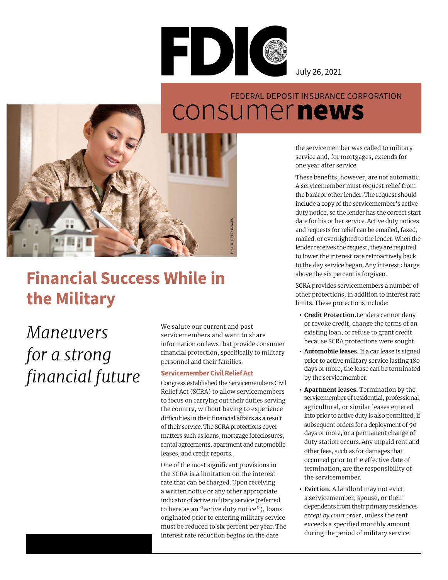

July 26, 2021

### consumer news FEDERAL DEPOSIT INSURANCE CORPORATION



## **Financial Success While in the Military**

# *Maneuvers for a strong financial future*

We salute our current and past servicemembers and want to share information on laws that provide consumer financial protection, specifically to military personnel and their families.

### **Servicemember Civil Relief Act**

Congress established the Servicemembers Civil Relief Act (SCRA) to allow servicemembers to focus on carrying out their duties serving the country, without having to experience difficulties in their financial affairs as a result of their service. The SCRA protections cover matters such as loans, mortgage foreclosures, rental agreements, apartment and automobile leases, and credit reports.

One of the most significant provisions in the SCRA is a limitation on the interest rate that can be charged. Upon receiving a written notice or any other appropriate indicator of active military service (referred to here as an "active duty notice"), loans originated prior to entering military service must be reduced to six percent per year. The interest rate reduction begins on the date

the servicemember was called to military service and, for mortgages, extends for one year after service.

These benefits, however, are not automatic. A servicemember must request relief from the bank or other lender. The request should include a copy of the servicemember's active duty notice, so the lender has the correct start date for his or her service. Active duty notices and requests for relief can be emailed, faxed, mailed, or overnighted to the lender. When the lender receives the request, they are required to lower the interest rate retroactively back to the day service began. Any interest charge above the six percent is forgiven.

SCRA provides servicemembers a number of other protections, in addition to interest rate limits. These protections include:

- **Credit Protection.**Lenders cannot deny or revoke credit, change the terms of an existing loan, or refuse to grant credit because SCRA protections were sought.
- **Automobile leases.** If a car lease is signed prior to active military service lasting 180 days or more, the lease can be terminated by the servicemember.
- **Apartment leases.** Termination by the servicemember of residential, professional, agricultural, or similar leases entered into prior to active duty is also permitted, if subsequent orders for a deployment of 90 days or more, or a permanent change of duty station occurs. Any unpaid rent and other fees, such as for damages that occurred prior to the effective date of termination, are the responsibility of the servicemember.
- **Eviction.** A landlord may not evict a servicemember, spouse, or their dependents from their primary residences *except by court order*, unless the rent exceeds a specified monthly amount during the period of military service.